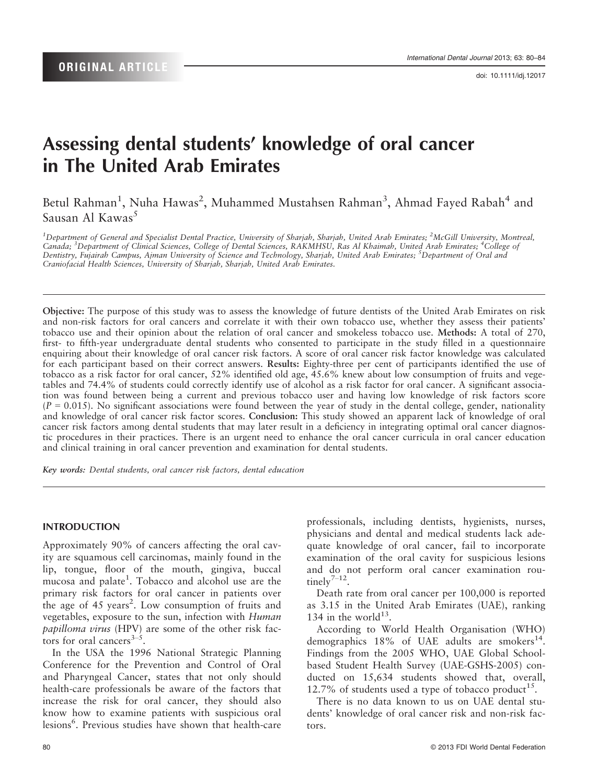# Assessing dental students' knowledge of oral cancer in The United Arab Emirates

Betul Rahman<sup>1</sup>, Nuha Hawas<sup>2</sup>, Muhammed Mustahsen Rahman<sup>3</sup>, Ahmad Fayed Rabah<sup>4</sup> and Sausan Al Kawas<sup>5</sup>

*<sup>1</sup>Department of General and Specialist Dental Practice, University of Sharjah, Sharjah, United Arab Emirates; <sup>2</sup>McGill University, Montreal, Canada; <sup>3</sup>Department of Clinical Sciences, College of Dental Sciences, RAKMHSU, Ras Al Khaimah, United Arab Emirates; <sup>4</sup>College of Dentistry, Fujairah Campus, Ajman University of Science and Technology, Sharjah, United Arab Emirates; <sup>5</sup>Department of Oral and Craniofacial Health Sciences, University of Sharjah, Sharjah, United Arab Emirates.*

Objective: The purpose of this study was to assess the knowledge of future dentists of the United Arab Emirates on risk and non-risk factors for oral cancers and correlate it with their own tobacco use, whether they assess their patients' tobacco use and their opinion about the relation of oral cancer and smokeless tobacco use. Methods: A total of 270, first- to fifth-year undergraduate dental students who consented to participate in the study filled in a questionnaire enquiring about their knowledge of oral cancer risk factors. A score of oral cancer risk factor knowledge was calculated for each participant based on their correct answers. Results: Eighty-three per cent of participants identified the use of tobacco as a risk factor for oral cancer, 52% identified old age, 45.6% knew about low consumption of fruits and vegetables and 74.4% of students could correctly identify use of alcohol as a risk factor for oral cancer. A significant association was found between being a current and previous tobacco user and having low knowledge of risk factors score  $(P = 0.015)$ . No significant associations were found between the year of study in the dental college, gender, nationality and knowledge of oral cancer risk factor scores. Conclusion: This study showed an apparent lack of knowledge of oral cancer risk factors among dental students that may later result in a deficiency in integrating optimal oral cancer diagnostic procedures in their practices. There is an urgent need to enhance the oral cancer curricula in oral cancer education and clinical training in oral cancer prevention and examination for dental students.

*Key words: Dental students, oral cancer risk factors, dental education*

#### INTRODUCTION

Approximately 90% of cancers affecting the oral cavity are squamous cell carcinomas, mainly found in the lip, tongue, floor of the mouth, gingiva, buccal mucosa and palate<sup>1</sup>. Tobacco and alcohol use are the primary risk factors for oral cancer in patients over the age of 45 years<sup>2</sup>. Low consumption of fruits and vegetables, exposure to the sun, infection with *Human papilloma virus* (HPV) are some of the other risk factors for oral cancers<sup>3-5</sup>.

In the USA the 1996 National Strategic Planning Conference for the Prevention and Control of Oral and Pharyngeal Cancer, states that not only should health-care professionals be aware of the factors that increase the risk for oral cancer, they should also know how to examine patients with suspicious oral lesions<sup>6</sup>. Previous studies have shown that health-care

professionals, including dentists, hygienists, nurses, physicians and dental and medical students lack adequate knowledge of oral cancer, fail to incorporate examination of the oral cavity for suspicious lesions and do not perform oral cancer examination routinely $7-12$ .

Death rate from oral cancer per 100,000 is reported as 3.15 in the United Arab Emirates (UAE), ranking 134 in the world $^{13}$ .

According to World Health Organisation (WHO) demographics 18% of UAE adults are smokers<sup>14</sup>. Findings from the 2005 WHO, UAE Global Schoolbased Student Health Survey (UAE-GSHS-2005) conducted on 15,634 students showed that, overall, 12.7% of students used a type of tobacco product<sup>15</sup>.

There is no data known to us on UAE dental students' knowledge of oral cancer risk and non-risk factors.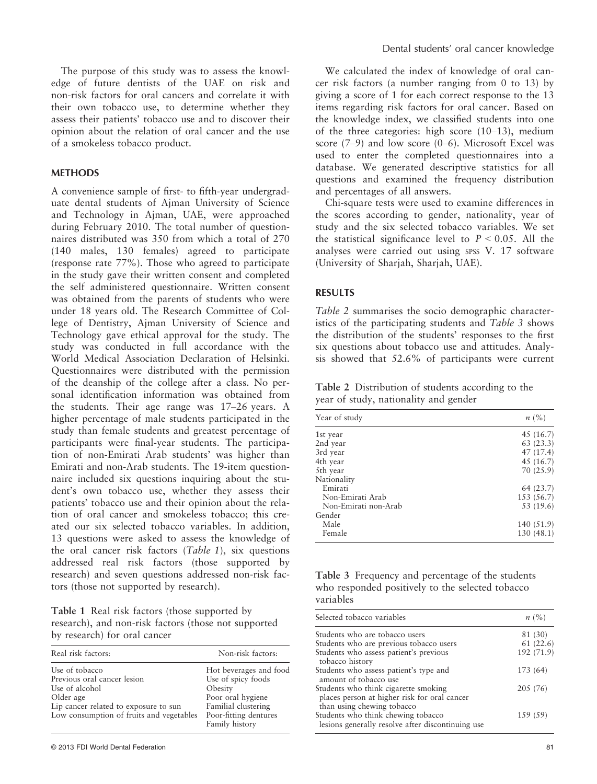The purpose of this study was to assess the knowledge of future dentists of the UAE on risk and non-risk factors for oral cancers and correlate it with their own tobacco use, to determine whether they assess their patients' tobacco use and to discover their opinion about the relation of oral cancer and the use of a smokeless tobacco product.

## **METHODS**

A convenience sample of first- to fifth-year undergraduate dental students of Ajman University of Science and Technology in Ajman, UAE, were approached during February 2010. The total number of questionnaires distributed was 350 from which a total of 270 (140 males, 130 females) agreed to participate (response rate 77%). Those who agreed to participate in the study gave their written consent and completed the self administered questionnaire. Written consent was obtained from the parents of students who were under 18 years old. The Research Committee of College of Dentistry, Ajman University of Science and Technology gave ethical approval for the study. The study was conducted in full accordance with the World Medical Association Declaration of Helsinki. Questionnaires were distributed with the permission of the deanship of the college after a class. No personal identification information was obtained from the students. Their age range was 17–26 years. A higher percentage of male students participated in the study than female students and greatest percentage of participants were final-year students. The participation of non-Emirati Arab students' was higher than Emirati and non-Arab students. The 19-item questionnaire included six questions inquiring about the student's own tobacco use, whether they assess their patients' tobacco use and their opinion about the relation of oral cancer and smokeless tobacco; this created our six selected tobacco variables. In addition, 13 questions were asked to assess the knowledge of the oral cancer risk factors (*Table 1*), six questions addressed real risk factors (those supported by research) and seven questions addressed non-risk factors (those not supported by research).

Table 1 Real risk factors (those supported by research), and non-risk factors (those not supported by research) for oral cancer

| Real risk factors:                                                                                                                                                | Non-risk factors:                                                                                                                              |
|-------------------------------------------------------------------------------------------------------------------------------------------------------------------|------------------------------------------------------------------------------------------------------------------------------------------------|
| Use of tobacco<br>Previous oral cancer lesion<br>Use of alcohol<br>Older age<br>Lip cancer related to exposure to sun<br>Low consumption of fruits and vegetables | Hot beverages and food<br>Use of spicy foods<br>Obesity<br>Poor oral hygiene<br>Familial clustering<br>Poor-fitting dentures<br>Family history |

We calculated the index of knowledge of oral cancer risk factors (a number ranging from 0 to 13) by giving a score of 1 for each correct response to the 13 items regarding risk factors for oral cancer. Based on the knowledge index, we classified students into one of the three categories: high score (10–13), medium score  $(7-9)$  and low score  $(0-6)$ . Microsoft Excel was used to enter the completed questionnaires into a database. We generated descriptive statistics for all questions and examined the frequency distribution and percentages of all answers.

Chi-square tests were used to examine differences in the scores according to gender, nationality, year of study and the six selected tobacco variables. We set the statistical significance level to  $P < 0.05$ . All the analyses were carried out using SPSS V. 17 software (University of Sharjah, Sharjah, UAE).

# **RESULTS**

*Table 2* summarises the socio demographic characteristics of the participating students and *Table 3* shows the distribution of the students' responses to the first six questions about tobacco use and attitudes. Analysis showed that 52.6% of participants were current

Table 2 Distribution of students according to the year of study, nationality and gender

| Year of study        | n (%)      |
|----------------------|------------|
| 1st year             | 45 (16.7)  |
| 2nd year             | 63(23.3)   |
| 3rd year             | 47 (17.4)  |
| 4th year             | 45(16.7)   |
| 5th year             | 70 (25.9)  |
| Nationality          |            |
| Emirati              | 64 (23.7)  |
| Non-Emirati Arab     | 153 (56.7) |
| Non-Emirati non-Arab | 53 (19.6)  |
| Gender               |            |
| Male                 | 140 (51.9) |
| Female               | 130 (48.1) |

Table 3 Frequency and percentage of the students who responded positively to the selected tobacco variables

| Selected tobacco variables                                                                                         | n (%)      |  |
|--------------------------------------------------------------------------------------------------------------------|------------|--|
| Students who are tobacco users                                                                                     | 81 (30)    |  |
| Students who are previous tobacco users                                                                            | 61(22.6)   |  |
| Students who assess patient's previous<br>tobacco history                                                          | 192 (71.9) |  |
| Students who assess patient's type and<br>amount of tobacco use                                                    | 173 (64)   |  |
| Students who think cigarette smoking<br>places person at higher risk for oral cancer<br>than using chewing tobacco | 205 (76)   |  |
| Students who think chewing tobacco<br>lesions generally resolve after discontinuing use                            | 159 (59)   |  |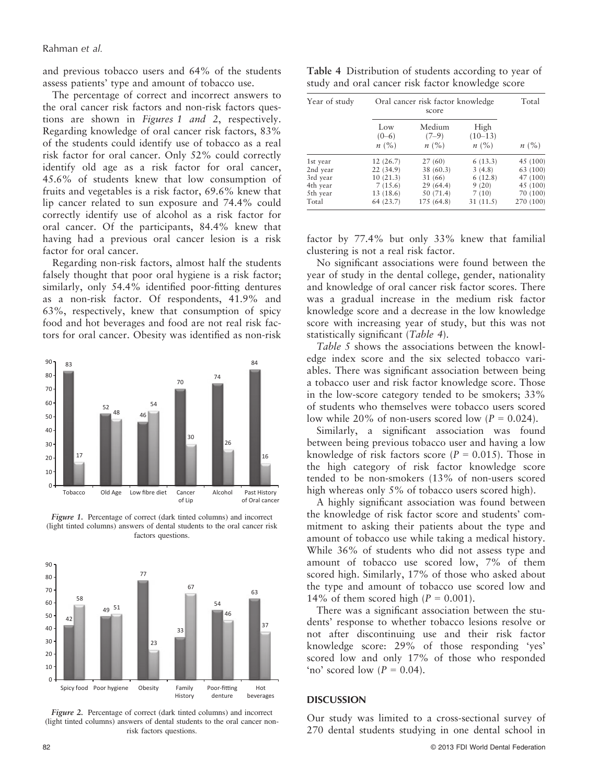and previous tobacco users and 64% of the students assess patients' type and amount of tobacco use.

The percentage of correct and incorrect answers to the oral cancer risk factors and non-risk factors questions are shown in *Figures 1 and 2*, respectively. Regarding knowledge of oral cancer risk factors, 83% of the students could identify use of tobacco as a real risk factor for oral cancer. Only 52% could correctly identify old age as a risk factor for oral cancer, 45.6% of students knew that low consumption of fruits and vegetables is a risk factor, 69.6% knew that lip cancer related to sun exposure and 74.4% could correctly identify use of alcohol as a risk factor for oral cancer. Of the participants, 84.4% knew that having had a previous oral cancer lesion is a risk factor for oral cancer.

Regarding non-risk factors, almost half the students falsely thought that poor oral hygiene is a risk factor; similarly, only 54.4% identified poor-fitting dentures as a non-risk factor. Of respondents, 41.9% and 63%, respectively, knew that consumption of spicy food and hot beverages and food are not real risk factors for oral cancer. Obesity was identified as non-risk



*Figure 1.* Percentage of correct (dark tinted columns) and incorrect (light tinted columns) answers of dental students to the oral cancer risk factors questions.



*Figure 2.* Percentage of correct (dark tinted columns) and incorrect (light tinted columns) answers of dental students to the oral cancer nonrisk factors questions.

Table 4 Distribution of students according to year of study and oral cancer risk factor knowledge score

| Year of study                                                     | Oral cancer risk factor knowledge                                     | Total                                                                 |                                                            |                                                                       |
|-------------------------------------------------------------------|-----------------------------------------------------------------------|-----------------------------------------------------------------------|------------------------------------------------------------|-----------------------------------------------------------------------|
|                                                                   | Low<br>$(0-6)$<br>n (%)                                               | Medium<br>$(7-9)$<br>n (%)                                            | High<br>$(10-13)$<br>n (%)                                 | n (%)                                                                 |
| 1st year<br>2nd year<br>3rd year<br>4th year<br>5th year<br>Total | 12(26.7)<br>22(34.9)<br>10(21.3)<br>7(15.6)<br>13 (18.6)<br>64 (23.7) | 27(60)<br>38 (60.3)<br>31 (66)<br>29(64.4)<br>50 (71.4)<br>175 (64.8) | 6(13.3)<br>3(4.8)<br>6(12.8)<br>9(20)<br>7(10)<br>31(11.5) | 45 (100)<br>63 (100)<br>47 (100)<br>45 (100)<br>70 (100)<br>270 (100) |

factor by 77.4% but only 33% knew that familial clustering is not a real risk factor.

No significant associations were found between the year of study in the dental college, gender, nationality and knowledge of oral cancer risk factor scores. There was a gradual increase in the medium risk factor knowledge score and a decrease in the low knowledge score with increasing year of study, but this was not statistically significant (*Table 4*).

*Table 5* shows the associations between the knowledge index score and the six selected tobacco variables. There was significant association between being a tobacco user and risk factor knowledge score. Those in the low-score category tended to be smokers; 33% of students who themselves were tobacco users scored low while 20% of non-users scored low  $(P = 0.024)$ .

Similarly, a significant association was found between being previous tobacco user and having a low knowledge of risk factors score  $(P = 0.015)$ . Those in the high category of risk factor knowledge score tended to be non-smokers (13% of non-users scored high whereas only 5% of tobacco users scored high).

A highly significant association was found between the knowledge of risk factor score and students' commitment to asking their patients about the type and amount of tobacco use while taking a medical history. While 36% of students who did not assess type and amount of tobacco use scored low, 7% of them scored high. Similarly, 17% of those who asked about the type and amount of tobacco use scored low and 14% of them scored high  $(P = 0.001)$ .

There was a significant association between the students' response to whether tobacco lesions resolve or not after discontinuing use and their risk factor knowledge score: 29% of those responding 'yes' scored low and only 17% of those who responded 'no' scored low  $(P = 0.04)$ .

#### **DISCUSSION**

Our study was limited to a cross-sectional survey of 270 dental students studying in one dental school in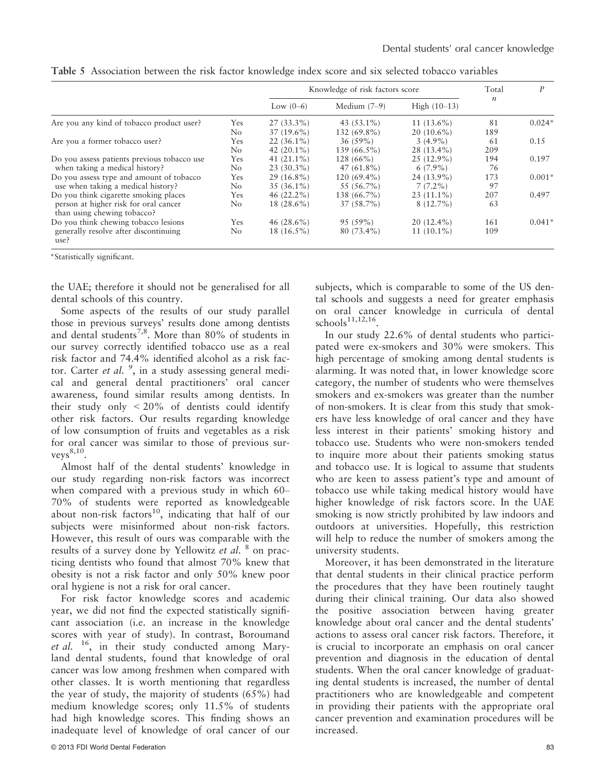|                                                                                                               |                | Knowledge of risk factors score |                |                | Total            | P        |
|---------------------------------------------------------------------------------------------------------------|----------------|---------------------------------|----------------|----------------|------------------|----------|
|                                                                                                               |                | Low $(0-6)$                     | Medium $(7-9)$ | High $(10-13)$ | $\boldsymbol{n}$ |          |
| Are you any kind of tobacco product user?                                                                     | Yes            | $27(33.3\%)$                    | 43 $(53.1\%)$  | 11 $(13.6\%)$  | 81               | $0.024*$ |
|                                                                                                               | N <sub>o</sub> | $37(19.6\%)$                    | $132(69.8\%)$  | $20(10.6\%)$   | 189              |          |
| Are you a former tobacco user?                                                                                | Yes            | $22(36.1\%)$                    | $36(59\%)$     | $3(4.9\%)$     | 61               | 0.15     |
|                                                                                                               | N <sub>o</sub> | 42 $(20.1\%)$                   | $139(66.5\%)$  | $28(13.4\%)$   | 209              |          |
| Do you assess patients previous tobacco use<br>when taking a medical history?                                 | Yes            | 41 $(21.1\%)$                   | $128(66\%)$    | $25(12.9\%)$   | 194              | 0.197    |
|                                                                                                               | N <sub>o</sub> | $23(30.3\%)$                    | $47(61.8\%)$   | $6(7.9\%)$     | 76               |          |
| Do you assess type and amount of tobacco<br>use when taking a medical history?                                | Yes            | $29(16.8\%)$                    | $120(69.4\%)$  | 24 (13.9%)     | 173              | $0.001*$ |
|                                                                                                               | N <sub>o</sub> | $35(36.1\%)$                    | 55 (56.7%)     | $7(7.2\%)$     | 97               |          |
| Do you think cigarette smoking places<br>person at higher risk for oral cancer<br>than using chewing tobacco? | Yes.           | 46 $(22.2\%)$                   | 138 (66.7%)    | $23(11.1\%)$   | 207              | 0.497    |
|                                                                                                               | N <sub>o</sub> | $18(28.6\%)$                    | 37 (58.7%)     | $8(12.7\%)$    | 63               |          |
| Do you think chewing tobacco lesions<br>generally resolve after discontinuing<br>use?                         | Yes:           | 46 $(28.6\%)$                   | $95(59\%)$     | $20(12.4\%)$   | 161              | $0.041*$ |
|                                                                                                               | No.            | $18(16.5\%)$                    | 80 (73.4%)     | $11(10.1\%)$   | 109              |          |

Table 5 Association between the risk factor knowledge index score and six selected tobacco variables

\*Statistically significant.

the UAE; therefore it should not be generalised for all dental schools of this country.

Some aspects of the results of our study parallel those in previous surveys' results done among dentists and dental students<sup>7,8</sup>. More than 80% of students in our survey correctly identified tobacco use as a real risk factor and 74.4% identified alcohol as a risk factor. Carter *et al.* <sup>9</sup>, in a study assessing general medical and general dental practitioners' oral cancer awareness, found similar results among dentists. In their study only  $\lt 20\%$  of dentists could identify other risk factors. Our results regarding knowledge of low consumption of fruits and vegetables as a risk for oral cancer was similar to those of previous sur $v e y s^{8,10}$ .

Almost half of the dental students' knowledge in our study regarding non-risk factors was incorrect when compared with a previous study in which 60– 70% of students were reported as knowledgeable about non-risk factors $^{10}$ , indicating that half of our subjects were misinformed about non-risk factors. However, this result of ours was comparable with the results of a survey done by Yellowitz et al. <sup>8</sup> on practicing dentists who found that almost 70% knew that obesity is not a risk factor and only 50% knew poor oral hygiene is not a risk for oral cancer.

For risk factor knowledge scores and academic year, we did not find the expected statistically significant association (i.e. an increase in the knowledge scores with year of study). In contrast, Boroumand *et al.* <sup>16</sup>, in their study conducted among Maryland dental students, found that knowledge of oral cancer was low among freshmen when compared with other classes. It is worth mentioning that regardless the year of study, the majority of students (65%) had medium knowledge scores; only 11.5% of students had high knowledge scores. This finding shows an inadequate level of knowledge of oral cancer of our subjects, which is comparable to some of the US dental schools and suggests a need for greater emphasis on oral cancer knowledge in curricula of dental  $schools^{11,12,16}.$ 

In our study 22.6% of dental students who participated were ex-smokers and 30% were smokers. This high percentage of smoking among dental students is alarming. It was noted that, in lower knowledge score category, the number of students who were themselves smokers and ex-smokers was greater than the number of non-smokers. It is clear from this study that smokers have less knowledge of oral cancer and they have less interest in their patients' smoking history and tobacco use. Students who were non-smokers tended to inquire more about their patients smoking status and tobacco use. It is logical to assume that students who are keen to assess patient's type and amount of tobacco use while taking medical history would have higher knowledge of risk factors score. In the UAE smoking is now strictly prohibited by law indoors and outdoors at universities. Hopefully, this restriction will help to reduce the number of smokers among the university students.

Moreover, it has been demonstrated in the literature that dental students in their clinical practice perform the procedures that they have been routinely taught during their clinical training. Our data also showed the positive association between having greater knowledge about oral cancer and the dental students' actions to assess oral cancer risk factors. Therefore, it is crucial to incorporate an emphasis on oral cancer prevention and diagnosis in the education of dental students. When the oral cancer knowledge of graduating dental students is increased, the number of dental practitioners who are knowledgeable and competent in providing their patients with the appropriate oral cancer prevention and examination procedures will be increased.